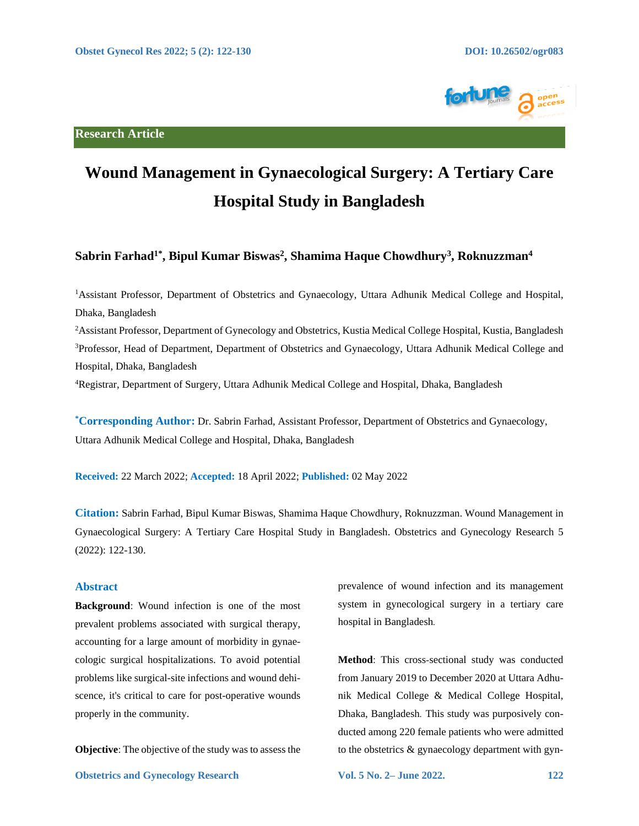**Research Article**



# **Wound Management in Gynaecological Surgery: A Tertiary Care Hospital Study in Bangladesh**

# **Sabrin Farhad1\* , Bipul Kumar Biswas<sup>2</sup> , Shamima Haque Chowdhury<sup>3</sup> , Roknuzzman<sup>4</sup>**

<sup>1</sup>Assistant Professor, Department of Obstetrics and Gynaecology, Uttara Adhunik Medical College and Hospital, Dhaka, Bangladesh

<sup>2</sup>Assistant Professor, Department of Gynecology and Obstetrics, Kustia Medical College Hospital, Kustia, Bangladesh <sup>3</sup>Professor, Head of Department, Department of Obstetrics and Gynaecology, Uttara Adhunik Medical College and Hospital, Dhaka, Bangladesh

<sup>4</sup>Registrar, Department of Surgery, Uttara Adhunik Medical College and Hospital, Dhaka, Bangladesh

**\*Corresponding Author:** Dr. Sabrin Farhad, Assistant Professor, Department of Obstetrics and Gynaecology, Uttara Adhunik Medical College and Hospital, Dhaka, Bangladesh

**Received:** 22 March 2022; **Accepted:** 18 April 2022; **Published:** 02 May 2022

**Citation:** Sabrin Farhad, Bipul Kumar Biswas, Shamima Haque Chowdhury, Roknuzzman. Wound Management in Gynaecological Surgery: A Tertiary Care Hospital Study in Bangladesh. Obstetrics and Gynecology Research 5 (2022): 122-130.

# **Abstract**

**Background**: Wound infection is one of the most prevalent problems associated with surgical therapy, accounting for a large amount of morbidity in gynaecologic surgical hospitalizations. To avoid potential problems like surgical-site infections and wound dehiscence, it's critical to care for post-operative wounds properly in the community.

**Objective**: The objective of the study was to assess the

prevalence of wound infection and its management system in gynecological surgery in a tertiary care hospital in Bangladesh*.* 

**Method**: This cross*-*sectional study was conducted from January 2019 to December 2020 at Uttara Adhunik Medical College & Medical College Hospital, Dhaka, Bangladesh*.* This study was purposively conducted among 220 female patients who were admitted to the obstetrics & gynaecology department with gyn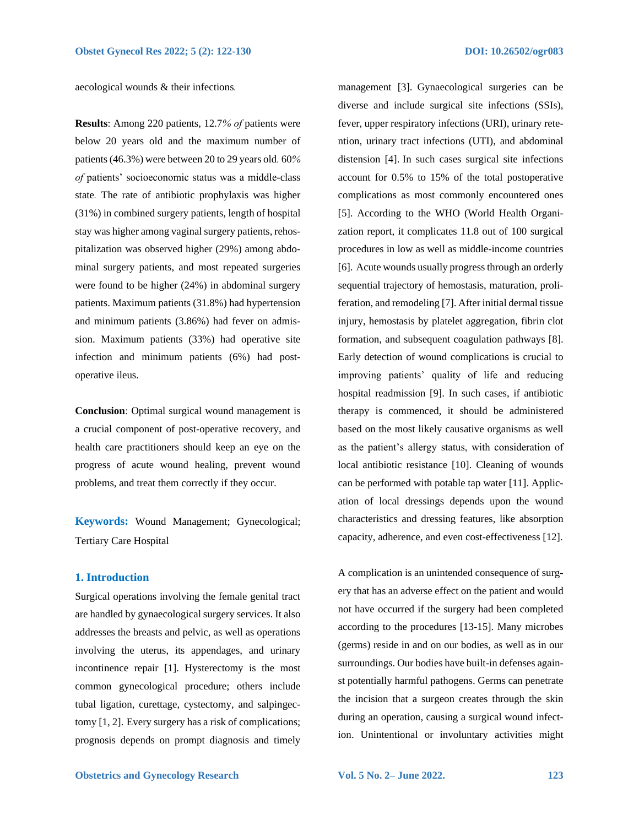aecological wounds & their infections*.* 

**Results**: Among 220 patients, 12.7*% of* patients were below 20 years old and the maximum number of patients (46.3%) were between 20 to 29 years old*.* 60*% of* patients' socioeconomic status was a middle-class state*.* The rate of antibiotic prophylaxis was higher (31%) in combined surgery patients, length of hospital stay was higher among vaginal surgery patients, rehospitalization was observed higher (29%) among abdominal surgery patients, and most repeated surgeries were found to be higher (24%) in abdominal surgery patients. Maximum patients (31.8%) had hypertension and minimum patients (3.86%) had fever on admission. Maximum patients (33%) had operative site infection and minimum patients (6%) had postoperative ileus.

**Conclusion**: Optimal surgical wound management is a crucial component of post-operative recovery, and health care practitioners should keep an eye on the progress of acute wound healing, prevent wound problems, and treat them correctly if they occur.

**Keywords:** Wound Management; Gynecological; Tertiary Care Hospital

#### **1. Introduction**

Surgical operations involving the female genital tract are handled by gynaecological surgery services. It also addresses the breasts and pelvic, as well as operations involving the uterus, its appendages, and urinary incontinence repair [1]. Hysterectomy is the most common gynecological procedure; others include tubal ligation, curettage, cystectomy, and salpingectomy [1, 2]. Every surgery has a risk of complications; prognosis depends on prompt diagnosis and timely

management [3]. Gynaecological surgeries can be diverse and include surgical site infections (SSIs), fever, upper respiratory infections (URI), urinary retention, urinary tract infections (UTI), and abdominal distension [4]. In such cases surgical site infections account for 0.5% to 15% of the total postoperative complications as most commonly encountered ones [5]. According to the WHO (World Health Organization report, it complicates 11.8 out of 100 surgical procedures in low as well as middle-income countries [6]. Acute wounds usually progress through an orderly sequential trajectory of hemostasis, maturation, proliferation, and remodeling [7]. After initial dermal tissue injury, hemostasis by platelet aggregation, fibrin clot formation, and subsequent coagulation pathways [8]. Early detection of wound complications is crucial to improving patients' quality of life and reducing hospital readmission [9]. In such cases, if antibiotic therapy is commenced, it should be administered based on the most likely causative organisms as well as the patient's allergy status, with consideration of local antibiotic resistance [10]. Cleaning of wounds can be performed with potable tap water [11]. Application of local dressings depends upon the wound characteristics and dressing features, like absorption capacity, adherence, and even cost-effectiveness [12].

A complication is an unintended consequence of surgery that has an adverse effect on the patient and would not have occurred if the surgery had been completed according to the procedures [13-15]. Many microbes (germs) reside in and on our bodies, as well as in our surroundings. Our bodies have built-in defenses against potentially harmful pathogens. Germs can penetrate the incision that a surgeon creates through the skin during an operation, causing a surgical wound infection. Unintentional or involuntary activities might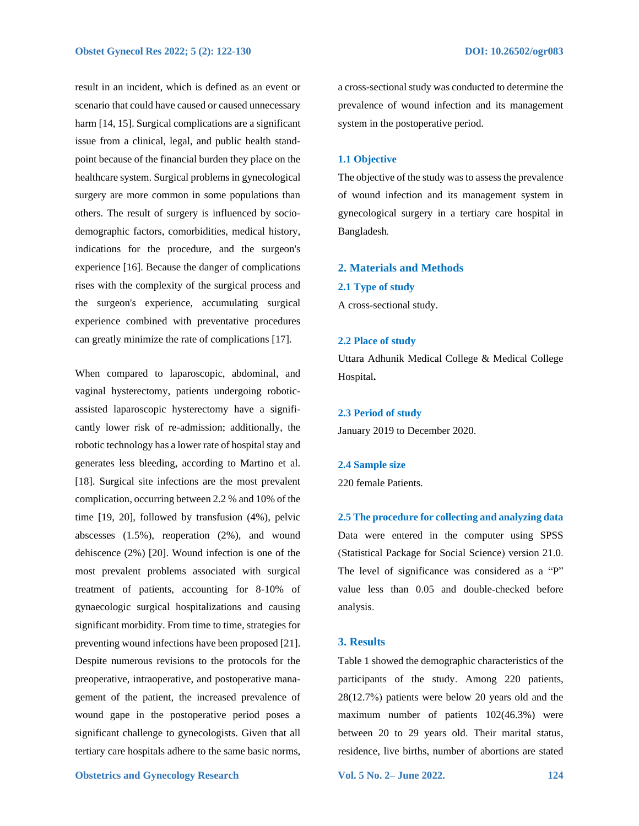result in an incident, which is defined as an event or scenario that could have caused or caused unnecessary harm [14, 15]. Surgical complications are a significant issue from a clinical, legal, and public health standpoint because of the financial burden they place on the healthcare system. Surgical problems in gynecological surgery are more common in some populations than others. The result of surgery is influenced by sociodemographic factors, comorbidities, medical history, indications for the procedure, and the surgeon's experience [16]. Because the danger of complications rises with the complexity of the surgical process and the surgeon's experience, accumulating surgical experience combined with preventative procedures can greatly minimize the rate of complications [17].

When compared to laparoscopic, abdominal, and vaginal hysterectomy, patients undergoing roboticassisted laparoscopic hysterectomy have a significantly lower risk of re-admission; additionally, the robotic technology has a lower rate of hospital stay and generates less bleeding, according to Martino et al. [18]. Surgical site infections are the most prevalent complication, occurring between 2.2 % and 10% of the time [19, 20], followed by transfusion (4%), pelvic abscesses (1.5%), reoperation (2%), and wound dehiscence (2%) [20]. Wound infection is one of the most prevalent problems associated with surgical treatment of patients, accounting for 8-10% of gynaecologic surgical hospitalizations and causing significant morbidity. From time to time, strategies for preventing wound infections have been proposed [21]. Despite numerous revisions to the protocols for the preoperative, intraoperative, and postoperative management of the patient, the increased prevalence of wound gape in the postoperative period poses a significant challenge to gynecologists. Given that all tertiary care hospitals adhere to the same basic norms, a cross-sectional study was conducted to determine the prevalence of wound infection and its management system in the postoperative period.

#### **1.1 Objective**

The objective of the study was to assess the prevalence of wound infection and its management system in gynecological surgery in a tertiary care hospital in Bangladesh*.*

# **2. Materials and Methods**

**2.1 Type of study**

A cross-sectional study.

#### **2.2 Place of study**

Uttara Adhunik Medical College & Medical College Hospital**.**

**2.3 Period of study** January 2019 to December 2020.

**2.4 Sample size**

220 female Patients.

**2.5 The procedure for collecting and analyzing data**  Data were entered in the computer using SPSS (Statistical Package for Social Science) version 21.0. The level of significance was considered as a "P" value less than 0.05 and double-checked before analysis.

### **3. Results**

Table 1 showed the demographic characteristics of the participants of the study. Among 220 patients, 28(12.7%) patients were below 20 years old and the maximum number of patients 102(46.3%) were between 20 to 29 years old. Their marital status, residence, live births, number of abortions are stated

**Obstetrics and Gynecology Research Vol. 5 No. 2– June 2022. 124**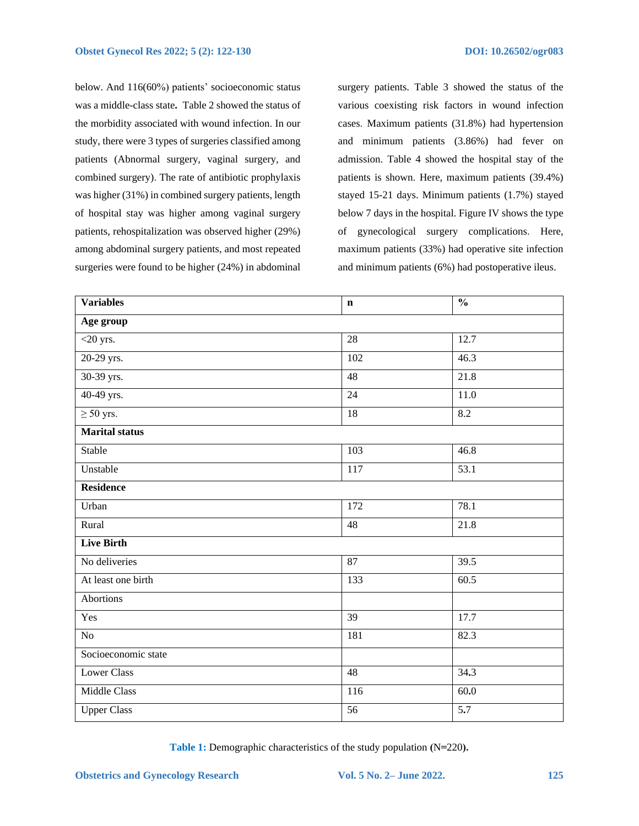below. And 116(60%) patients' socioeconomic status was a middle-class state**.** Table 2 showed the status of the morbidity associated with wound infection. In our study, there were 3 types of surgeries classified among patients (Abnormal surgery, vaginal surgery, and combined surgery). The rate of antibiotic prophylaxis was higher (31%) in combined surgery patients, length of hospital stay was higher among vaginal surgery patients, rehospitalization was observed higher (29%) among abdominal surgery patients, and most repeated surgeries were found to be higher (24%) in abdominal surgery patients. Table 3 showed the status of the various coexisting risk factors in wound infection cases. Maximum patients (31.8%) had hypertension and minimum patients (3.86%) had fever on admission. Table 4 showed the hospital stay of the patients is shown. Here, maximum patients (39.4%) stayed 15-21 days. Minimum patients (1.7%) stayed below 7 days in the hospital. Figure IV shows the type of gynecological surgery complications. Here, maximum patients (33%) had operative site infection and minimum patients (6%) had postoperative ileus.

| <b>Variables</b>      | $\mathbf n$       | $\overline{\frac{0}{0}}$ |  |  |
|-----------------------|-------------------|--------------------------|--|--|
| Age group             |                   |                          |  |  |
| $<$ 20 yrs.           | 28                | 12.7                     |  |  |
| 20-29 yrs.            | 102               | 46.3                     |  |  |
| 30-39 yrs.            | 48                | 21.8                     |  |  |
| 40-49 yrs.            | 24                | 11.0                     |  |  |
| $\geq 50$ yrs.        | $\overline{18}$   | 8.2                      |  |  |
| <b>Marital status</b> |                   |                          |  |  |
| Stable                | 103               | 46.8                     |  |  |
| Unstable              | 117               | 53.1                     |  |  |
| <b>Residence</b>      |                   |                          |  |  |
| Urban                 | 172               | 78.1                     |  |  |
| Rural                 | 48                | 21.8                     |  |  |
| <b>Live Birth</b>     |                   |                          |  |  |
| No deliveries         | 87                | 39.5                     |  |  |
| At least one birth    | 133               | 60.5                     |  |  |
| <b>Abortions</b>      |                   |                          |  |  |
| Yes                   | 39                | 17.7                     |  |  |
| $\rm No$              | 181               | 82.3                     |  |  |
| Socioeconomic state   |                   |                          |  |  |
| <b>Lower Class</b>    | 48                | 34.3                     |  |  |
| <b>Middle Class</b>   | $\frac{116}{116}$ | 60.0                     |  |  |
| <b>Upper Class</b>    | 56                | 5.7                      |  |  |

**Table 1:** Demographic characteristics of the study population **(**N**=**220**).**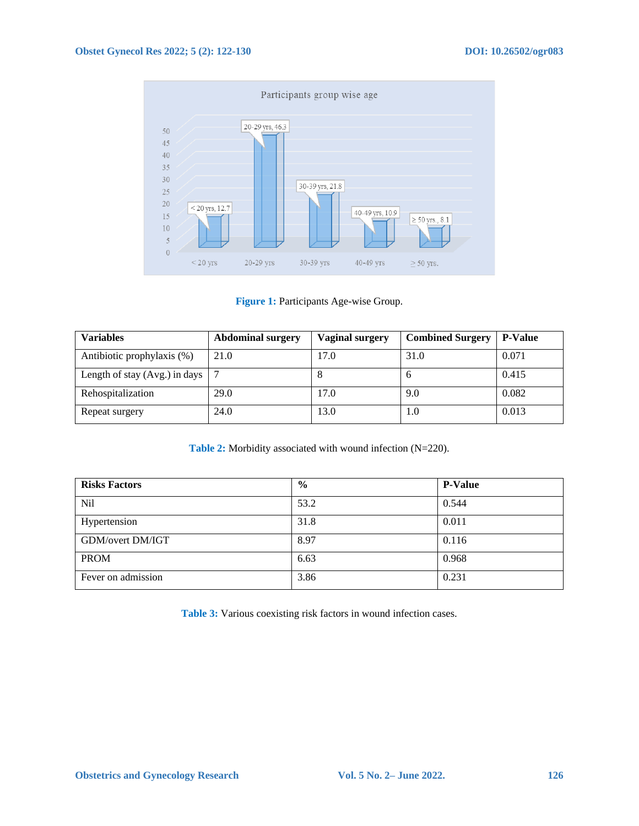

**Figure 1:** Participants Age-wise Group.

| <b>Variables</b>              | <b>Abdominal surgery</b> | <b>Vaginal surgery</b> | <b>Combined Surgery</b> | <b>P-Value</b> |
|-------------------------------|--------------------------|------------------------|-------------------------|----------------|
| Antibiotic prophylaxis (%)    | 21.0                     | 17.0                   | 31.0                    | 0.071          |
| Length of stay (Avg.) in days |                          |                        | n                       | 0.415          |
| Rehospitalization             | 29.0                     | 17.0                   | 9.0                     | 0.082          |
| Repeat surgery                | 24.0                     | 13.0                   | 1.0                     | 0.013          |

**Table 2:** Morbidity associated with wound infection (N=220).

| <b>Risks Factors</b>    | $\frac{0}{0}$ | <b>P-Value</b> |
|-------------------------|---------------|----------------|
| <b>Nil</b>              | 53.2          | 0.544          |
| Hypertension            | 31.8          | 0.011          |
| <b>GDM/overt DM/IGT</b> | 8.97          | 0.116          |
| <b>PROM</b>             | 6.63          | 0.968          |
| Fever on admission      | 3.86          | 0.231          |

**Table 3:** Various coexisting risk factors in wound infection cases.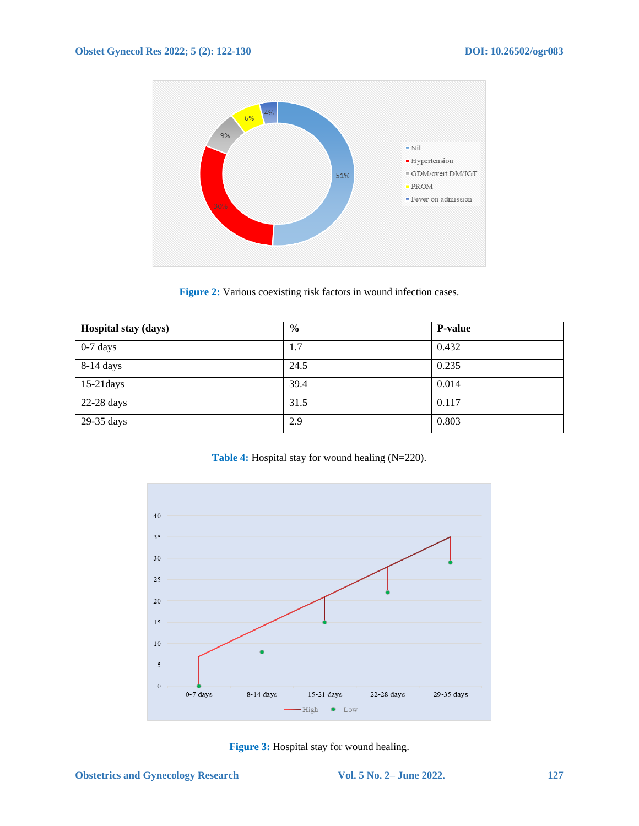

**Figure 2:** Various coexisting risk factors in wound infection cases.

| Hospital stay (days) | $\frac{0}{0}$ | <b>P-value</b> |
|----------------------|---------------|----------------|
| $0-7$ days           | 1.7           | 0.432          |
| 8-14 days            | 24.5          | 0.235          |
| $15-21$ days         | 39.4          | 0.014          |
| 22-28 days           | 31.5          | 0.117          |
| 29-35 days           | 2.9           | 0.803          |

**Table 4:** Hospital stay for wound healing (N=220).



**Figure 3:** Hospital stay for wound healing.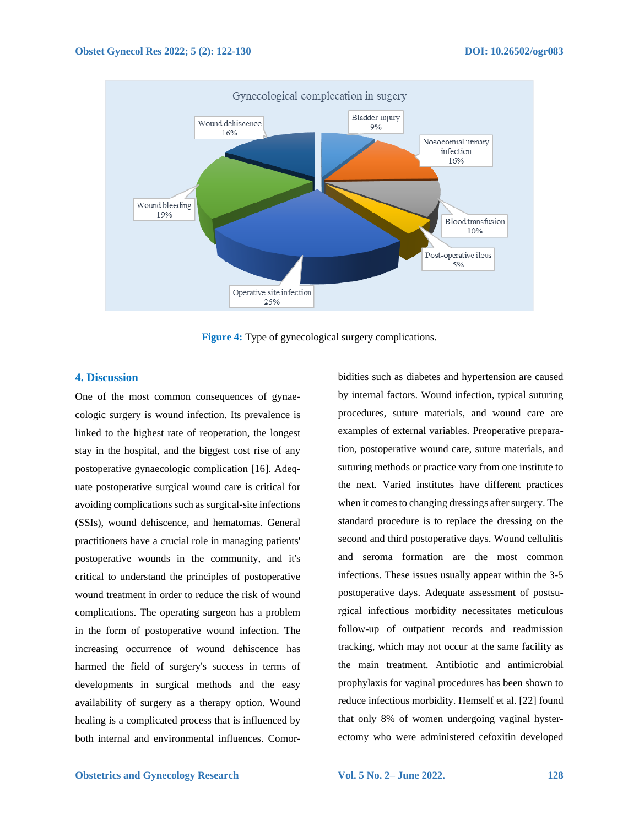

**Figure 4:** Type of gynecological surgery complications.

# **4. Discussion**

One of the most common consequences of gynaecologic surgery is wound infection. Its prevalence is linked to the highest rate of reoperation, the longest stay in the hospital, and the biggest cost rise of any postoperative gynaecologic complication [16]. Adequate postoperative surgical wound care is critical for avoiding complications such as surgical-site infections (SSIs), wound dehiscence, and hematomas. General practitioners have a crucial role in managing patients' postoperative wounds in the community, and it's critical to understand the principles of postoperative wound treatment in order to reduce the risk of wound complications. The operating surgeon has a problem in the form of postoperative wound infection. The increasing occurrence of wound dehiscence has harmed the field of surgery's success in terms of developments in surgical methods and the easy availability of surgery as a therapy option. Wound healing is a complicated process that is influenced by both internal and environmental influences. Comorbidities such as diabetes and hypertension are caused by internal factors. Wound infection, typical suturing procedures, suture materials, and wound care are examples of external variables. Preoperative preparation, postoperative wound care, suture materials, and suturing methods or practice vary from one institute to the next. Varied institutes have different practices when it comes to changing dressings after surgery. The standard procedure is to replace the dressing on the second and third postoperative days. Wound cellulitis and seroma formation are the most common infections. These issues usually appear within the 3-5 postoperative days. Adequate assessment of postsurgical infectious morbidity necessitates meticulous follow-up of outpatient records and readmission tracking, which may not occur at the same facility as the main treatment. Antibiotic and antimicrobial prophylaxis for vaginal procedures has been shown to reduce infectious morbidity. Hemself et al. [22] found that only 8% of women undergoing vaginal hysterectomy who were administered cefoxitin developed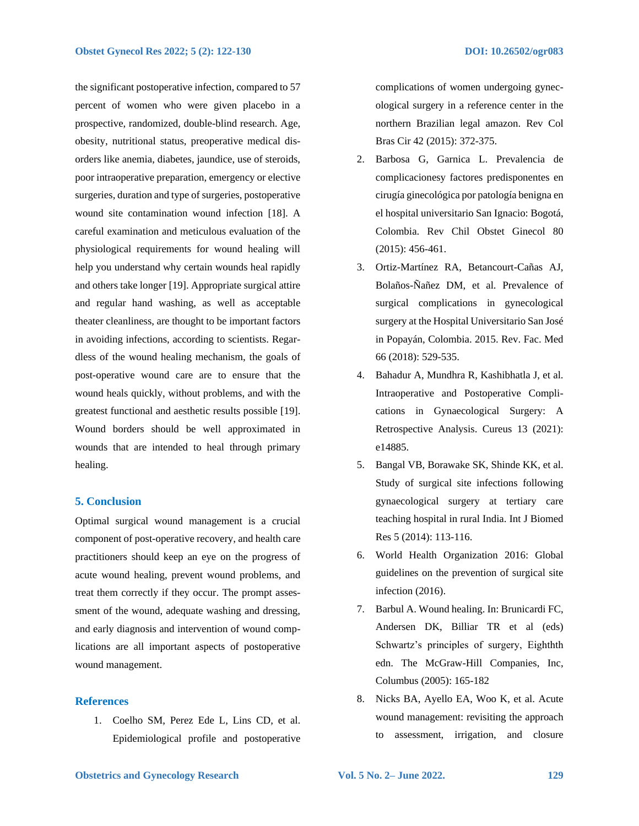the significant postoperative infection, compared to 57 percent of women who were given placebo in a prospective, randomized, double-blind research. Age, obesity, nutritional status, preoperative medical disorders like anemia, diabetes, jaundice, use of steroids, poor intraoperative preparation, emergency or elective surgeries, duration and type of surgeries, postoperative wound site contamination wound infection [18]. A careful examination and meticulous evaluation of the physiological requirements for wound healing will help you understand why certain wounds heal rapidly and others take longer [19]. Appropriate surgical attire and regular hand washing, as well as acceptable theater cleanliness, are thought to be important factors in avoiding infections, according to scientists. Regardless of the wound healing mechanism, the goals of post-operative wound care are to ensure that the wound heals quickly, without problems, and with the greatest functional and aesthetic results possible [19]. Wound borders should be well approximated in wounds that are intended to heal through primary healing.

# **5. Conclusion**

Optimal surgical wound management is a crucial component of post-operative recovery, and health care practitioners should keep an eye on the progress of acute wound healing, prevent wound problems, and treat them correctly if they occur. The prompt assessment of the wound, adequate washing and dressing, and early diagnosis and intervention of wound complications are all important aspects of postoperative wound management.

## **References**

1. Coelho SM, Perez Ede L, Lins CD, et al. Epidemiological profile and postoperative complications of women undergoing gynecological surgery in a reference center in the northern Brazilian legal amazon. Rev Col Bras Cir 42 (2015): 372-375.

- 2. Barbosa G, Garnica L. Prevalencia de complicacionesy factores predisponentes en cirugía ginecológica por patología benigna en el hospital universitario San Ignacio: Bogotá, Colombia. Rev Chil Obstet Ginecol 80 (2015): 456-461.
- 3. Ortiz-Martínez RA, Betancourt-Cañas AJ, Bolaños-Ñañez DM, et al. Prevalence of surgical complications in gynecological surgery at the Hospital Universitario San José in Popayán, Colombia. 2015. Rev. Fac. Med 66 (2018): 529-535.
- 4. Bahadur A, Mundhra R, Kashibhatla J, et al. Intraoperative and Postoperative Complications in Gynaecological Surgery: A Retrospective Analysis. Cureus 13 (2021): e14885.
- 5. Bangal VB, Borawake SK, Shinde KK, et al. Study of surgical site infections following gynaecological surgery at tertiary care teaching hospital in rural India. Int J Biomed Res 5 (2014): 113-116.
- 6. World Health Organization 2016: Global guidelines on the prevention of surgical site infection (2016).
- 7. Barbul A. Wound healing. In: Brunicardi FC, Andersen DK, Billiar TR et al (eds) Schwartz's principles of surgery, Eighthth edn. The McGraw-Hill Companies, Inc, Columbus (2005): 165-182
- 8. Nicks BA, Ayello EA, Woo K, et al. Acute wound management: revisiting the approach to assessment, irrigation, and closure